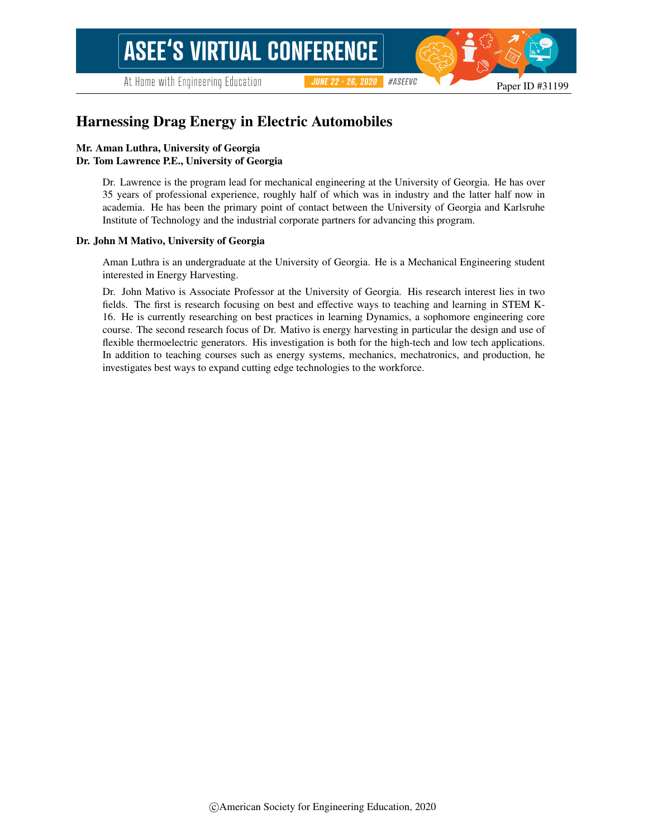At Home with Engineering Education

#ASEEVC **JUNE 22 - 26, 2020** 

# Harnessing Drag Energy in Electric Automobiles

#### Mr. Aman Luthra, University of Georgia Dr. Tom Lawrence P.E., University of Georgia

Dr. Lawrence is the program lead for mechanical engineering at the University of Georgia. He has over 35 years of professional experience, roughly half of which was in industry and the latter half now in academia. He has been the primary point of contact between the University of Georgia and Karlsruhe Institute of Technology and the industrial corporate partners for advancing this program.

#### Dr. John M Mativo, University of Georgia

Aman Luthra is an undergraduate at the University of Georgia. He is a Mechanical Engineering student interested in Energy Harvesting.

Dr. John Mativo is Associate Professor at the University of Georgia. His research interest lies in two fields. The first is research focusing on best and effective ways to teaching and learning in STEM K-16. He is currently researching on best practices in learning Dynamics, a sophomore engineering core course. The second research focus of Dr. Mativo is energy harvesting in particular the design and use of flexible thermoelectric generators. His investigation is both for the high-tech and low tech applications. In addition to teaching courses such as energy systems, mechanics, mechatronics, and production, he investigates best ways to expand cutting edge technologies to the workforce.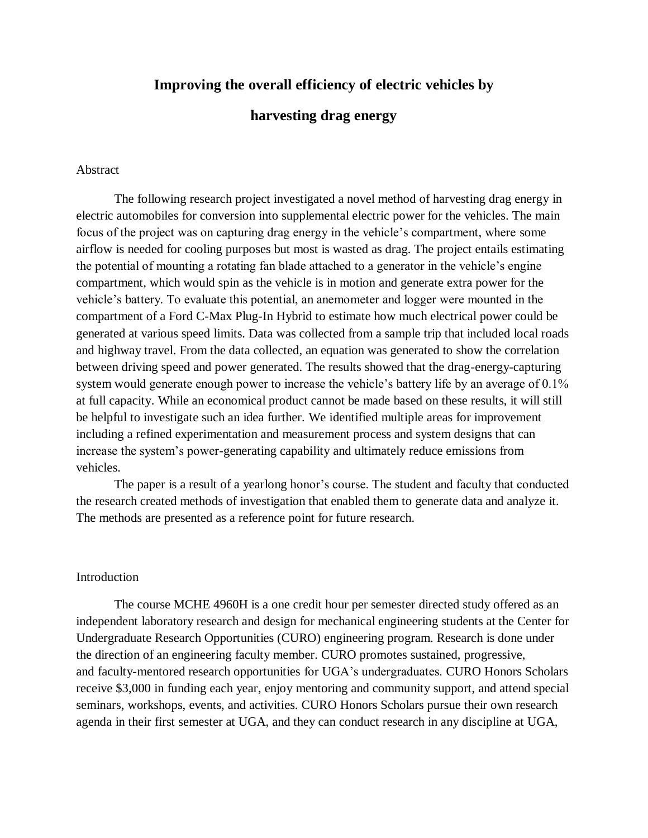# **Improving the overall efficiency of electric vehicles by**

## **harvesting drag energy**

## Abstract

The following research project investigated a novel method of harvesting drag energy in electric automobiles for conversion into supplemental electric power for the vehicles. The main focus of the project was on capturing drag energy in the vehicle's compartment, where some airflow is needed for cooling purposes but most is wasted as drag. The project entails estimating the potential of mounting a rotating fan blade attached to a generator in the vehicle's engine compartment, which would spin as the vehicle is in motion and generate extra power for the vehicle's battery. To evaluate this potential, an anemometer and logger were mounted in the compartment of a Ford C-Max Plug-In Hybrid to estimate how much electrical power could be generated at various speed limits. Data was collected from a sample trip that included local roads and highway travel. From the data collected, an equation was generated to show the correlation between driving speed and power generated. The results showed that the drag-energy-capturing system would generate enough power to increase the vehicle's battery life by an average of 0.1% at full capacity. While an economical product cannot be made based on these results, it will still be helpful to investigate such an idea further. We identified multiple areas for improvement including a refined experimentation and measurement process and system designs that can increase the system's power-generating capability and ultimately reduce emissions from vehicles.

The paper is a result of a yearlong honor's course. The student and faculty that conducted the research created methods of investigation that enabled them to generate data and analyze it. The methods are presented as a reference point for future research.

### Introduction

The course MCHE 4960H is a one credit hour per semester directed study offered as an independent laboratory research and design for mechanical engineering students at the Center for Undergraduate Research Opportunities (CURO) engineering program. Research is done under the direction of an engineering faculty member. CURO promotes sustained, progressive, and faculty-mentored research opportunities for UGA's undergraduates. CURO Honors Scholars receive \$3,000 in funding each year, enjoy mentoring and community support, and attend special seminars, workshops, events, and activities. CURO Honors Scholars pursue their own research agenda in their first semester at UGA, and they can conduct research in any discipline at UGA,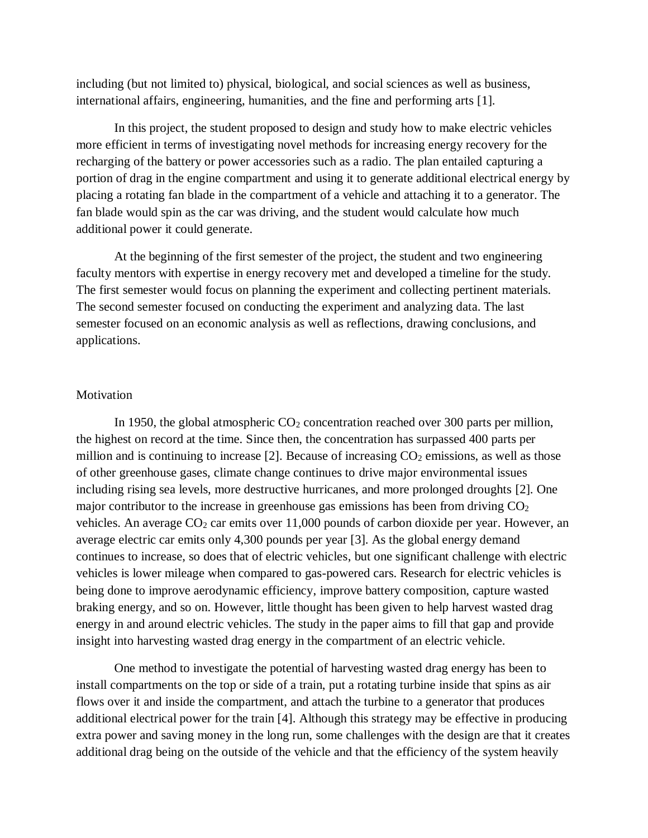including (but not limited to) physical, biological, and social sciences as well as business, international affairs, engineering, humanities, and the fine and performing arts [1].

In this project, the student proposed to design and study how to make electric vehicles more efficient in terms of investigating novel methods for increasing energy recovery for the recharging of the battery or power accessories such as a radio. The plan entailed capturing a portion of drag in the engine compartment and using it to generate additional electrical energy by placing a rotating fan blade in the compartment of a vehicle and attaching it to a generator. The fan blade would spin as the car was driving, and the student would calculate how much additional power it could generate.

At the beginning of the first semester of the project, the student and two engineering faculty mentors with expertise in energy recovery met and developed a timeline for the study. The first semester would focus on planning the experiment and collecting pertinent materials. The second semester focused on conducting the experiment and analyzing data. The last semester focused on an economic analysis as well as reflections, drawing conclusions, and applications.

### Motivation

In 1950, the global atmospheric  $CO<sub>2</sub>$  concentration reached over 300 parts per million, the highest on record at the time. Since then, the concentration has surpassed 400 parts per million and is continuing to increase [2]. Because of increasing  $CO<sub>2</sub>$  emissions, as well as those of other greenhouse gases, climate change continues to drive major environmental issues including rising sea levels, more destructive hurricanes, and more prolonged droughts [2]. One major contributor to the increase in greenhouse gas emissions has been from driving  $CO<sub>2</sub>$ vehicles. An average  $CO<sub>2</sub>$  car emits over 11,000 pounds of carbon dioxide per year. However, an average electric car emits only 4,300 pounds per year [3]. As the global energy demand continues to increase, so does that of electric vehicles, but one significant challenge with electric vehicles is lower mileage when compared to gas-powered cars. Research for electric vehicles is being done to improve aerodynamic efficiency, improve battery composition, capture wasted braking energy, and so on. However, little thought has been given to help harvest wasted drag energy in and around electric vehicles. The study in the paper aims to fill that gap and provide insight into harvesting wasted drag energy in the compartment of an electric vehicle.

One method to investigate the potential of harvesting wasted drag energy has been to install compartments on the top or side of a train, put a rotating turbine inside that spins as air flows over it and inside the compartment, and attach the turbine to a generator that produces additional electrical power for the train [4]. Although this strategy may be effective in producing extra power and saving money in the long run, some challenges with the design are that it creates additional drag being on the outside of the vehicle and that the efficiency of the system heavily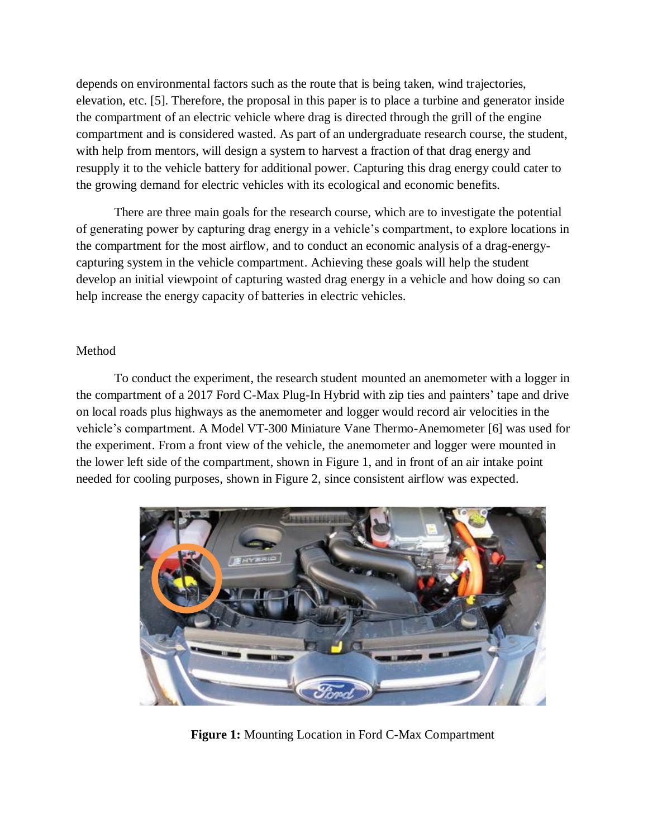depends on environmental factors such as the route that is being taken, wind trajectories, elevation, etc. [5]. Therefore, the proposal in this paper is to place a turbine and generator inside the compartment of an electric vehicle where drag is directed through the grill of the engine compartment and is considered wasted. As part of an undergraduate research course, the student, with help from mentors, will design a system to harvest a fraction of that drag energy and resupply it to the vehicle battery for additional power. Capturing this drag energy could cater to the growing demand for electric vehicles with its ecological and economic benefits.

There are three main goals for the research course, which are to investigate the potential of generating power by capturing drag energy in a vehicle's compartment, to explore locations in the compartment for the most airflow, and to conduct an economic analysis of a drag-energycapturing system in the vehicle compartment. Achieving these goals will help the student develop an initial viewpoint of capturing wasted drag energy in a vehicle and how doing so can help increase the energy capacity of batteries in electric vehicles.

## Method

To conduct the experiment, the research student mounted an anemometer with a logger in the compartment of a 2017 Ford C-Max Plug-In Hybrid with zip ties and painters' tape and drive on local roads plus highways as the anemometer and logger would record air velocities in the vehicle's compartment. A Model VT-300 Miniature Vane Thermo-Anemometer [6] was used for the experiment. From a front view of the vehicle, the anemometer and logger were mounted in the lower left side of the compartment, shown in Figure 1, and in front of an air intake point needed for cooling purposes, shown in Figure 2, since consistent airflow was expected.



**Figure 1:** Mounting Location in Ford C-Max Compartment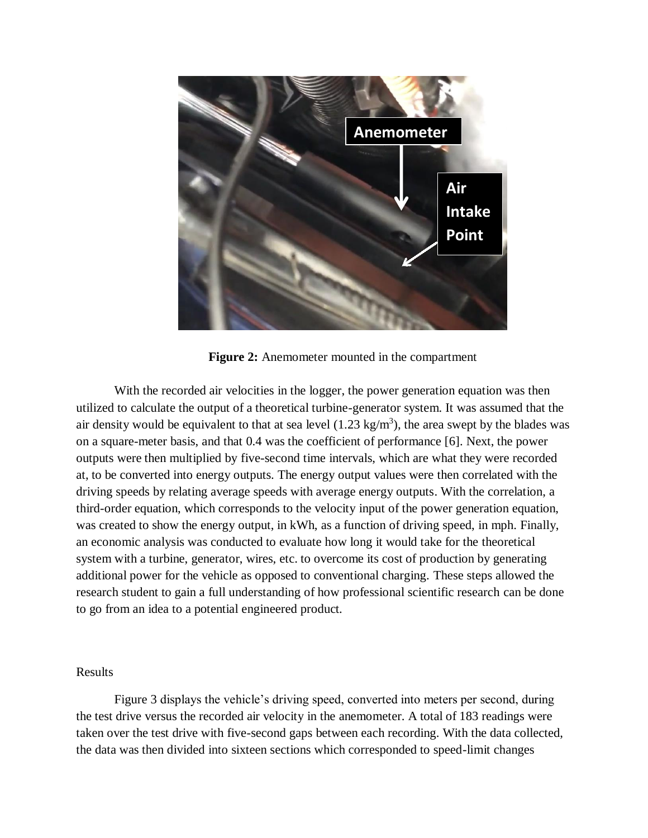

**Figure 2:** Anemometer mounted in the compartment

With the recorded air velocities in the logger, the power generation equation was then utilized to calculate the output of a theoretical turbine-generator system. It was assumed that the air density would be equivalent to that at sea level  $(1.23 \text{ kg/m}^3)$ , the area swept by the blades was on a square-meter basis, and that 0.4 was the coefficient of performance [6]. Next, the power outputs were then multiplied by five-second time intervals, which are what they were recorded at, to be converted into energy outputs. The energy output values were then correlated with the driving speeds by relating average speeds with average energy outputs. With the correlation, a third-order equation, which corresponds to the velocity input of the power generation equation, was created to show the energy output, in kWh, as a function of driving speed, in mph. Finally, an economic analysis was conducted to evaluate how long it would take for the theoretical system with a turbine, generator, wires, etc. to overcome its cost of production by generating additional power for the vehicle as opposed to conventional charging. These steps allowed the research student to gain a full understanding of how professional scientific research can be done to go from an idea to a potential engineered product.

## Results

Figure 3 displays the vehicle's driving speed, converted into meters per second, during the test drive versus the recorded air velocity in the anemometer. A total of 183 readings were taken over the test drive with five-second gaps between each recording. With the data collected, the data was then divided into sixteen sections which corresponded to speed-limit changes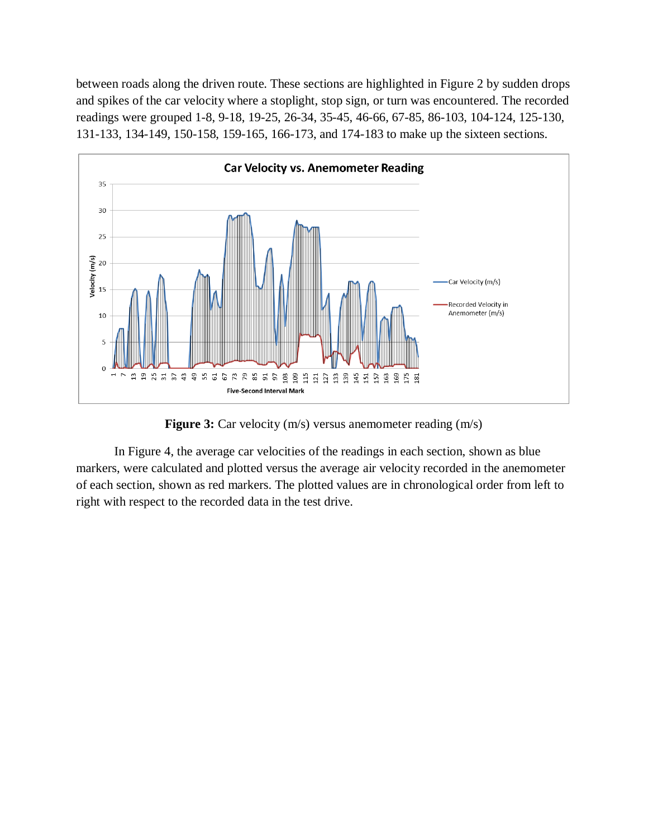between roads along the driven route. These sections are highlighted in Figure 2 by sudden drops and spikes of the car velocity where a stoplight, stop sign, or turn was encountered. The recorded readings were grouped 1-8, 9-18, 19-25, 26-34, 35-45, 46-66, 67-85, 86-103, 104-124, 125-130, 131-133, 134-149, 150-158, 159-165, 166-173, and 174-183 to make up the sixteen sections.



**Figure 3:** Car velocity (m/s) versus anemometer reading (m/s)

In Figure 4, the average car velocities of the readings in each section, shown as blue markers, were calculated and plotted versus the average air velocity recorded in the anemometer of each section, shown as red markers. The plotted values are in chronological order from left to right with respect to the recorded data in the test drive.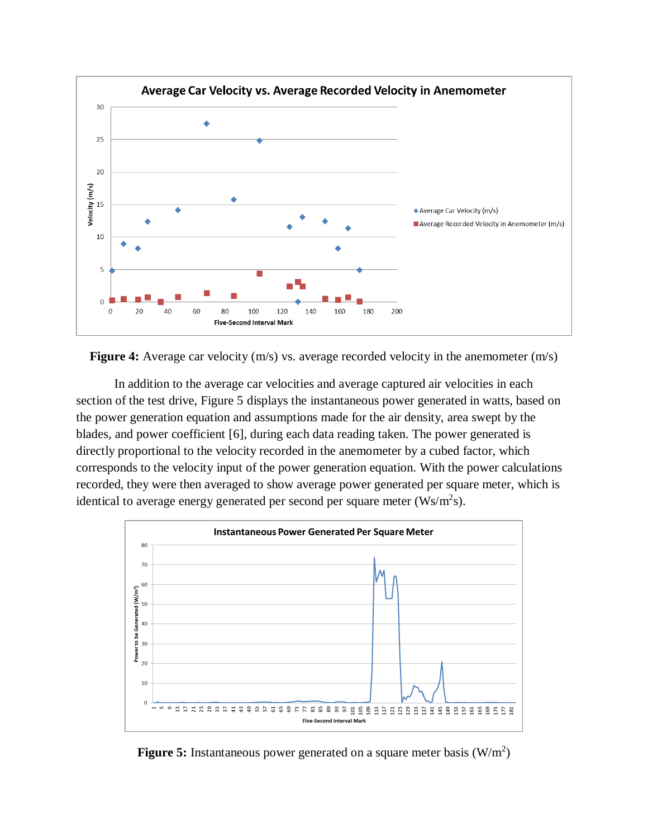

Figure 4: Average car velocity (m/s) vs. average recorded velocity in the anemometer (m/s)

In addition to the average car velocities and average captured air velocities in each section of the test drive, Figure 5 displays the instantaneous power generated in watts, based on the power generation equation and assumptions made for the air density, area swept by the blades, and power coefficient [6], during each data reading taken. The power generated is directly proportional to the velocity recorded in the anemometer by a cubed factor, which corresponds to the velocity input of the power generation equation. With the power calculations recorded, they were then averaged to show average power generated per square meter, which is identical to average energy generated per second per square meter  $(Ws/m<sup>2</sup>s)$ .



Figure 5: Instantaneous power generated on a square meter basis (W/m<sup>2</sup>)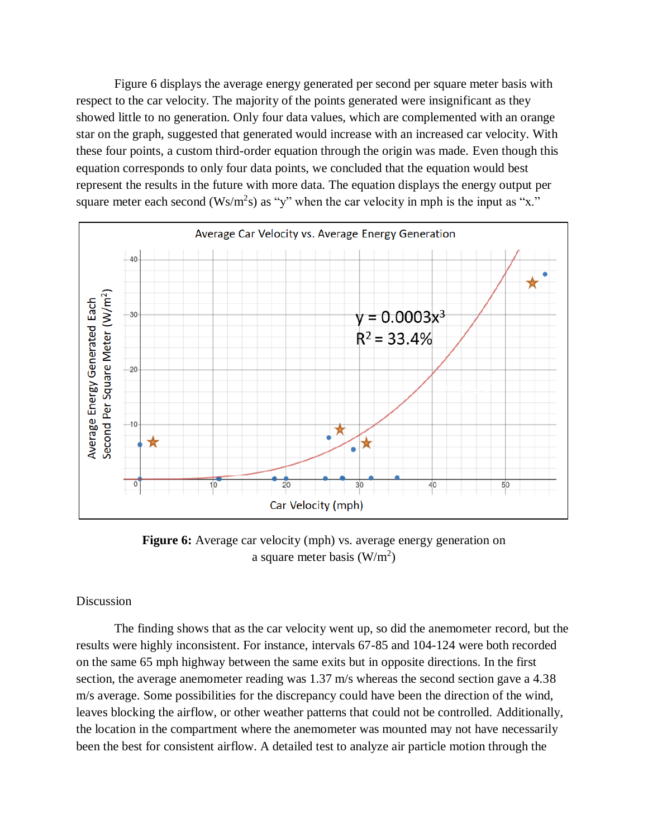Figure 6 displays the average energy generated per second per square meter basis with respect to the car velocity. The majority of the points generated were insignificant as they showed little to no generation. Only four data values, which are complemented with an orange star on the graph, suggested that generated would increase with an increased car velocity. With these four points, a custom third-order equation through the origin was made. Even though this equation corresponds to only four data points, we concluded that the equation would best represent the results in the future with more data. The equation displays the energy output per square meter each second (Ws/m<sup>2</sup>s) as "y" when the car velocity in mph is the input as "x."



**Figure 6:** Average car velocity (mph) vs. average energy generation on a square meter basis  $(W/m^2)$ 

### **Discussion**

The finding shows that as the car velocity went up, so did the anemometer record, but the results were highly inconsistent. For instance, intervals 67-85 and 104-124 were both recorded on the same 65 mph highway between the same exits but in opposite directions. In the first section, the average anemometer reading was 1.37 m/s whereas the second section gave a 4.38 m/s average. Some possibilities for the discrepancy could have been the direction of the wind, leaves blocking the airflow, or other weather patterns that could not be controlled. Additionally, the location in the compartment where the anemometer was mounted may not have necessarily been the best for consistent airflow. A detailed test to analyze air particle motion through the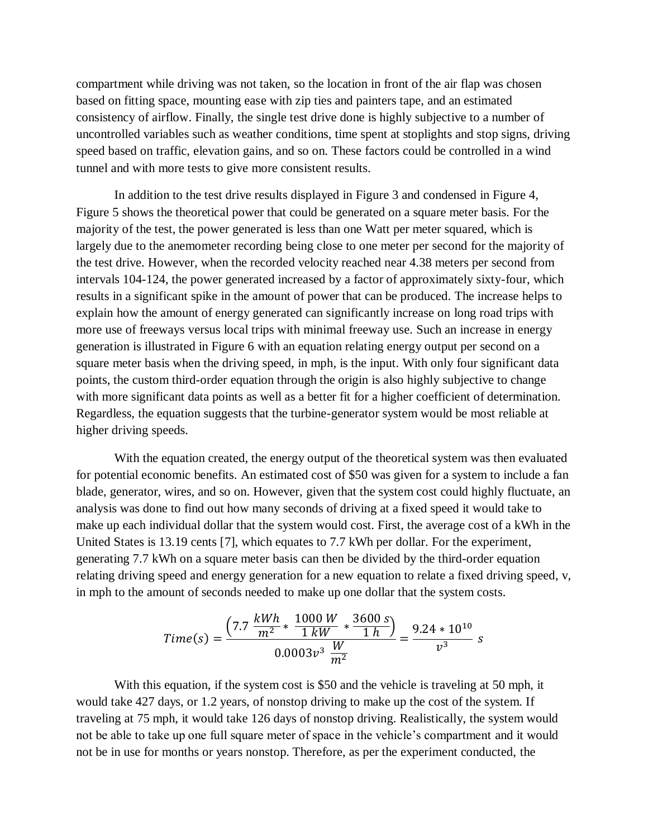compartment while driving was not taken, so the location in front of the air flap was chosen based on fitting space, mounting ease with zip ties and painters tape, and an estimated consistency of airflow. Finally, the single test drive done is highly subjective to a number of uncontrolled variables such as weather conditions, time spent at stoplights and stop signs, driving speed based on traffic, elevation gains, and so on. These factors could be controlled in a wind tunnel and with more tests to give more consistent results.

In addition to the test drive results displayed in Figure 3 and condensed in Figure 4, Figure 5 shows the theoretical power that could be generated on a square meter basis. For the majority of the test, the power generated is less than one Watt per meter squared, which is largely due to the anemometer recording being close to one meter per second for the majority of the test drive. However, when the recorded velocity reached near 4.38 meters per second from intervals 104-124, the power generated increased by a factor of approximately sixty-four, which results in a significant spike in the amount of power that can be produced. The increase helps to explain how the amount of energy generated can significantly increase on long road trips with more use of freeways versus local trips with minimal freeway use. Such an increase in energy generation is illustrated in Figure 6 with an equation relating energy output per second on a square meter basis when the driving speed, in mph, is the input. With only four significant data points, the custom third-order equation through the origin is also highly subjective to change with more significant data points as well as a better fit for a higher coefficient of determination. Regardless, the equation suggests that the turbine-generator system would be most reliable at higher driving speeds.

With the equation created, the energy output of the theoretical system was then evaluated for potential economic benefits. An estimated cost of \$50 was given for a system to include a fan blade, generator, wires, and so on. However, given that the system cost could highly fluctuate, an analysis was done to find out how many seconds of driving at a fixed speed it would take to make up each individual dollar that the system would cost. First, the average cost of a kWh in the United States is 13.19 cents [7], which equates to 7.7 kWh per dollar. For the experiment, generating 7.7 kWh on a square meter basis can then be divided by the third-order equation relating driving speed and energy generation for a new equation to relate a fixed driving speed, v, in mph to the amount of seconds needed to make up one dollar that the system costs.

$$
Time(s) = \frac{\left(7.7 \frac{kWh}{m^2} * \frac{1000 W}{1 kW} * \frac{3600 s}{1 h}\right)}{0.0003 v^3 \frac{W}{m^2}} = \frac{9.24 * 10^{10}}{v^3} s
$$

With this equation, if the system cost is \$50 and the vehicle is traveling at 50 mph, it would take 427 days, or 1.2 years, of nonstop driving to make up the cost of the system. If traveling at 75 mph, it would take 126 days of nonstop driving. Realistically, the system would not be able to take up one full square meter of space in the vehicle's compartment and it would not be in use for months or years nonstop. Therefore, as per the experiment conducted, the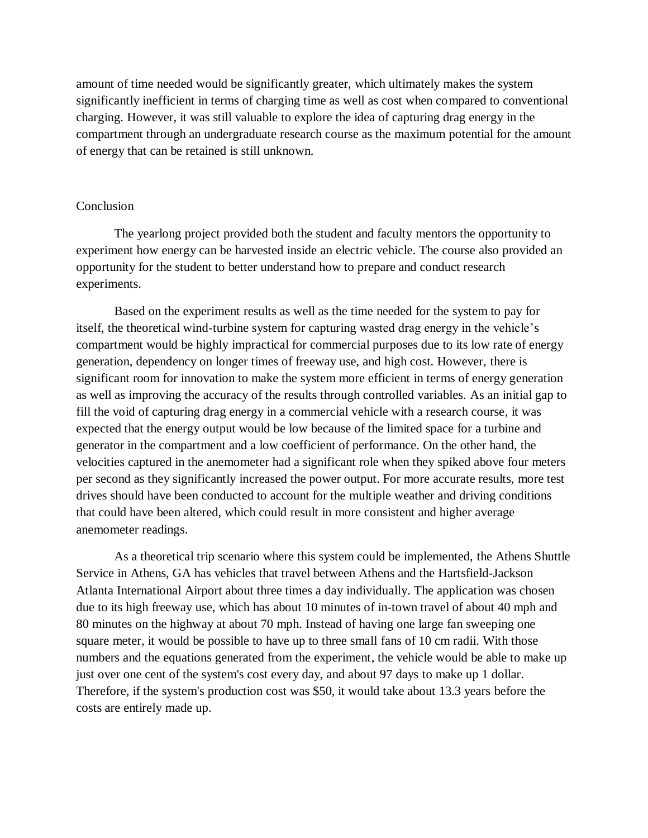amount of time needed would be significantly greater, which ultimately makes the system significantly inefficient in terms of charging time as well as cost when compared to conventional charging. However, it was still valuable to explore the idea of capturing drag energy in the compartment through an undergraduate research course as the maximum potential for the amount of energy that can be retained is still unknown.

#### **Conclusion**

The yearlong project provided both the student and faculty mentors the opportunity to experiment how energy can be harvested inside an electric vehicle. The course also provided an opportunity for the student to better understand how to prepare and conduct research experiments.

Based on the experiment results as well as the time needed for the system to pay for itself, the theoretical wind-turbine system for capturing wasted drag energy in the vehicle's compartment would be highly impractical for commercial purposes due to its low rate of energy generation, dependency on longer times of freeway use, and high cost. However, there is significant room for innovation to make the system more efficient in terms of energy generation as well as improving the accuracy of the results through controlled variables. As an initial gap to fill the void of capturing drag energy in a commercial vehicle with a research course, it was expected that the energy output would be low because of the limited space for a turbine and generator in the compartment and a low coefficient of performance. On the other hand, the velocities captured in the anemometer had a significant role when they spiked above four meters per second as they significantly increased the power output. For more accurate results, more test drives should have been conducted to account for the multiple weather and driving conditions that could have been altered, which could result in more consistent and higher average anemometer readings.

As a theoretical trip scenario where this system could be implemented, the Athens Shuttle Service in Athens, GA has vehicles that travel between Athens and the Hartsfield-Jackson Atlanta International Airport about three times a day individually. The application was chosen due to its high freeway use, which has about 10 minutes of in-town travel of about 40 mph and 80 minutes on the highway at about 70 mph. Instead of having one large fan sweeping one square meter, it would be possible to have up to three small fans of 10 cm radii. With those numbers and the equations generated from the experiment, the vehicle would be able to make up just over one cent of the system's cost every day, and about 97 days to make up 1 dollar. Therefore, if the system's production cost was \$50, it would take about 13.3 years before the costs are entirely made up.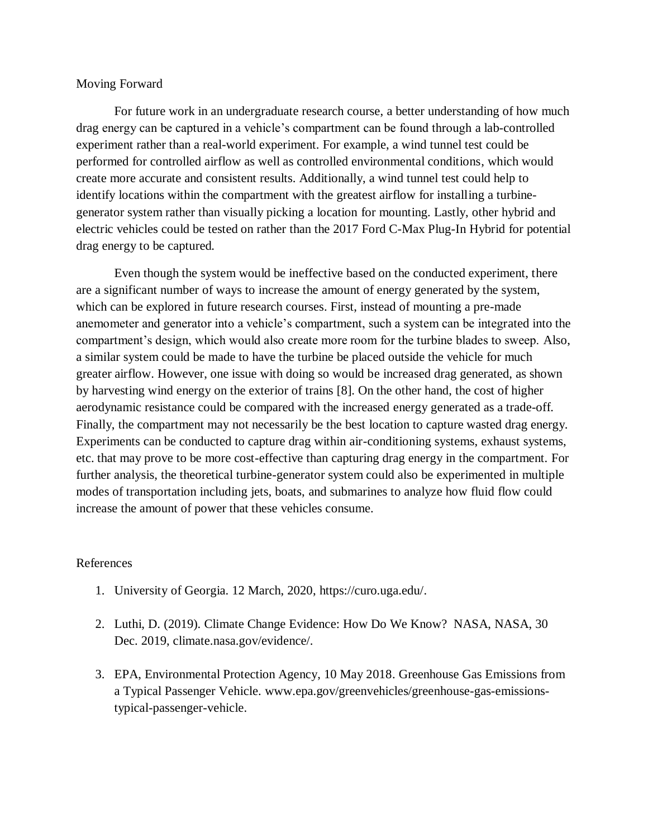### Moving Forward

For future work in an undergraduate research course, a better understanding of how much drag energy can be captured in a vehicle's compartment can be found through a lab-controlled experiment rather than a real-world experiment. For example, a wind tunnel test could be performed for controlled airflow as well as controlled environmental conditions, which would create more accurate and consistent results. Additionally, a wind tunnel test could help to identify locations within the compartment with the greatest airflow for installing a turbinegenerator system rather than visually picking a location for mounting. Lastly, other hybrid and electric vehicles could be tested on rather than the 2017 Ford C-Max Plug-In Hybrid for potential drag energy to be captured.

Even though the system would be ineffective based on the conducted experiment, there are a significant number of ways to increase the amount of energy generated by the system, which can be explored in future research courses. First, instead of mounting a pre-made anemometer and generator into a vehicle's compartment, such a system can be integrated into the compartment's design, which would also create more room for the turbine blades to sweep. Also, a similar system could be made to have the turbine be placed outside the vehicle for much greater airflow. However, one issue with doing so would be increased drag generated, as shown by harvesting wind energy on the exterior of trains [8]. On the other hand, the cost of higher aerodynamic resistance could be compared with the increased energy generated as a trade-off. Finally, the compartment may not necessarily be the best location to capture wasted drag energy. Experiments can be conducted to capture drag within air-conditioning systems, exhaust systems, etc. that may prove to be more cost-effective than capturing drag energy in the compartment. For further analysis, the theoretical turbine-generator system could also be experimented in multiple modes of transportation including jets, boats, and submarines to analyze how fluid flow could increase the amount of power that these vehicles consume.

## References

- 1. University of Georgia. 12 March, 2020, https://curo.uga.edu/.
- 2. Luthi, D. (2019). Climate Change Evidence: How Do We Know? NASA, NASA, 30 Dec. 2019, climate.nasa.gov/evidence/.
- 3. EPA, Environmental Protection Agency, 10 May 2018. Greenhouse Gas Emissions from a Typical Passenger Vehicle. www.epa.gov/greenvehicles/greenhouse-gas-emissionstypical-passenger-vehicle.